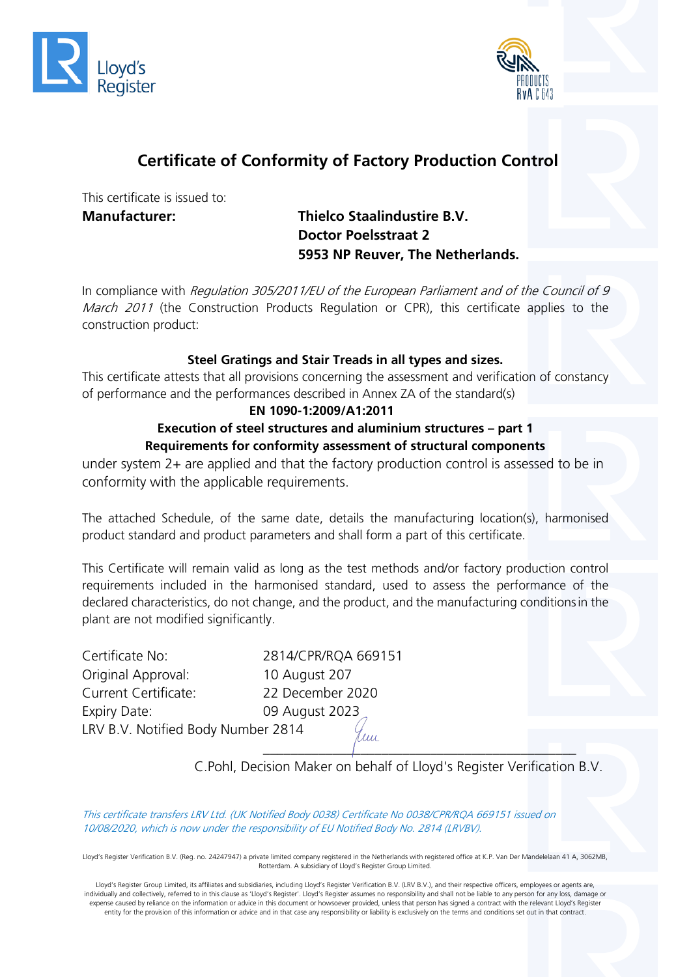



# **Certificate of Conformity of Factory Production Control**

This certificate is issued to:

### **Manufacturer: Thielco Staalindustire B.V. Doctor Poelsstraat 2 5953 NP Reuver, The Netherlands.**

In compliance with Regulation 305/2011/EU of the European Parliament and of the Council of 9 March 2011 (the Construction Products Regulation or CPR), this certificate applies to the construction product:

### **Steel Gratings and Stair Treads in all types and sizes.**

This certificate attests that all provisions concerning the assessment and verification of constancy of performance and the performances described in Annex ZA of the standard(s)

#### **EN 1090-1:2009/A1:2011**

#### **Execution of steel structures and aluminium structures – part 1 Requirements for conformity assessment of structural components**

under system 2+ are applied and that the factory production control is assessed to be in conformity with the applicable requirements.

The attached Schedule, of the same date, details the manufacturing location(s), harmonised product standard and product parameters and shall form a part of this certificate.

This Certificate will remain valid as long as the test methods and/or factory production control requirements included in the harmonised standard, used to assess the performance of the declared characteristics, do not change, and the product, and the manufacturing conditionsin the plant are not modified significantly.

Certificate No: 2814/CPR/RQA 669151 Original Approval: 10 August 207 Current Certificate: 22 December 2020 Expiry Date: 09 August 2023 LRV B.V. Notified Body Number 2814 tuu'

C.Pohl, Decision Maker on behalf of Lloyd's Register Verification B.V.

\_\_\_\_\_\_\_\_\_\_\_\_\_\_\_\_\_\_\_\_\_\_\_\_\_\_\_\_\_\_\_\_\_\_\_\_\_\_\_\_\_\_\_\_\_

This certificate transfers LRV Ltd. (UK Notified Body 0038) Certificate No 0038/CPR/RQA 669151 issued on 10/08/2020, which is now under the responsibility of EU Notified Body No. 2814 (LRVBV).

Lloyd's Register Verification B.V. (Reg. no. 24247947) a private limited company registered in the Netherlands with registered office at K.P. Van Der Mandelelaan 41 A, 3062MB, Rotterdam. A subsidiary of Lloyd's Register Group Limited.

Lloyd's Register Group Limited, its affiliates and subsidiaries, including Lloyd's Register Verification B.V. (LRV B.V.), and their respective officers, employees or agents are, individually and collectively, referred to in this clause as 'Lloyd's Register'. Lloyd's Register assumes no responsibility and shall not be liable to any person for any loss, damage or expense caused by reliance on the information or advice in this document or howsoever provided, unless that person has signed a contract with the relevant Lloyd's Register entity for the provision of this information or advice and in that case any responsibility or liability is exclusively on the terms and conditions set out in that contract.